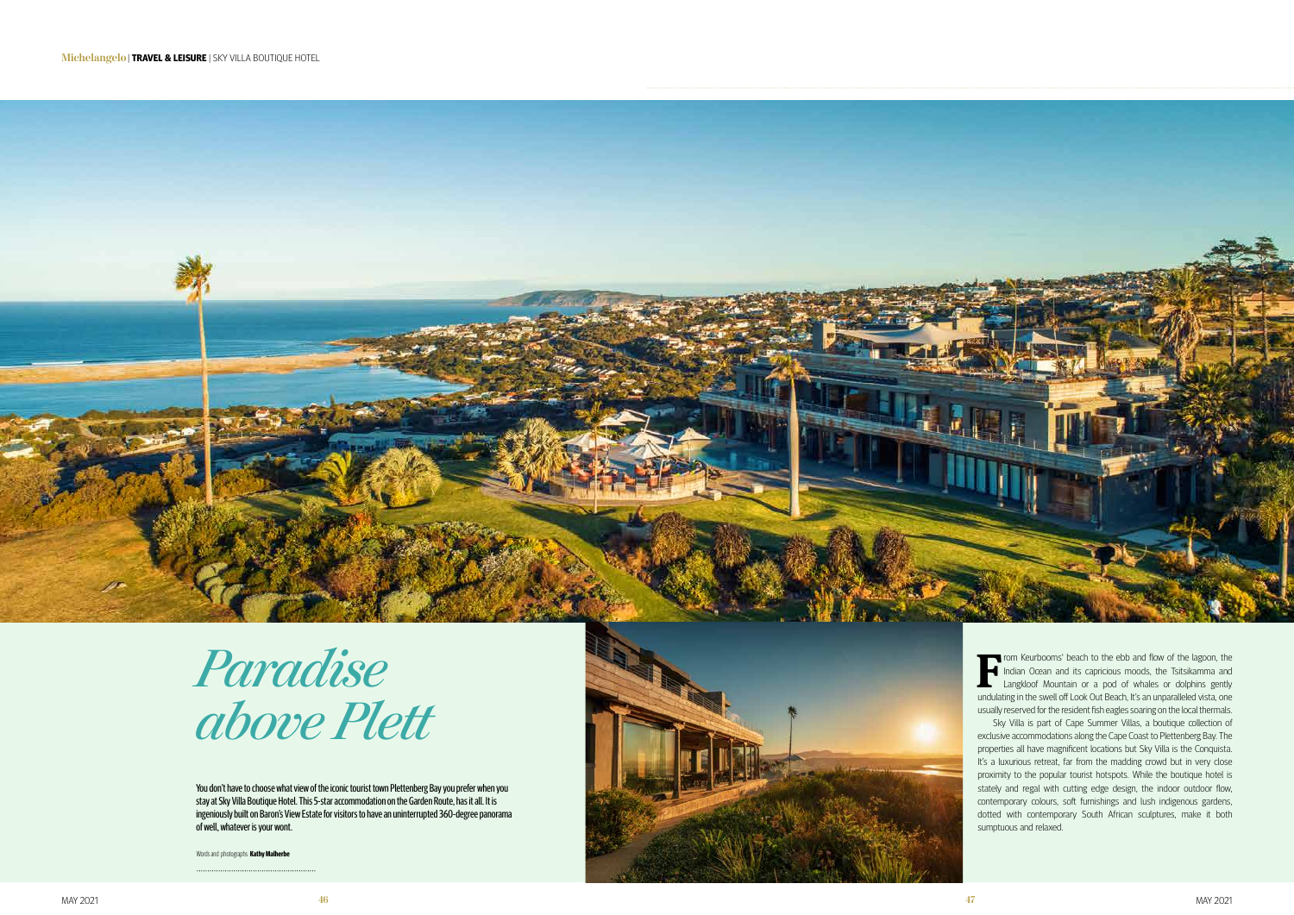## *Paradise above Plett*

You don't have to choose what view of the iconic tourist town Plettenberg Bay you prefer when you stay at Sky Villa Boutique Hotel. This 5-star accommodation on the Garden Route, has it all. It is ingeniously built on Baron's View Estate for visitors to have an uninterrupted 360-degree panorama of well, whatever is your wont.

**From Keurbooms' beach to the ebb and flow of the lagoon, the Indian Ocean and its capricious moods, the Tsitsikamma and Langkloof Mountain or a pod of whales or dolphins gently** Indian Ocean and its capricious moods, the Tsitsikamma and Langkloof Mountain or a pod of whales or dolphins gently undulating in the swell off Look Out Beach, It's an unparalleled vista, one usually reserved for the resident fish eagles soaring on the local thermals.

Sky Villa is part of Cape Summer Villas, a boutique collection of exclusive accommodations along the Cape Coast to Plettenberg Bay. The properties all have magnificent locations but Sky Villa is the Conquista. It's a luxurious retreat, far from the madding crowd but in very close proximity to the popular tourist hotspots. While the boutique hotel is stately and regal with cutting edge design, the indoor outdoor flow, contemporary colours, soft furnishings and lush indigenous gardens, dotted with contemporary South African sculptures, make it both sumptuous and relaxed.

Words and photographs: **Kathy Malherbe**



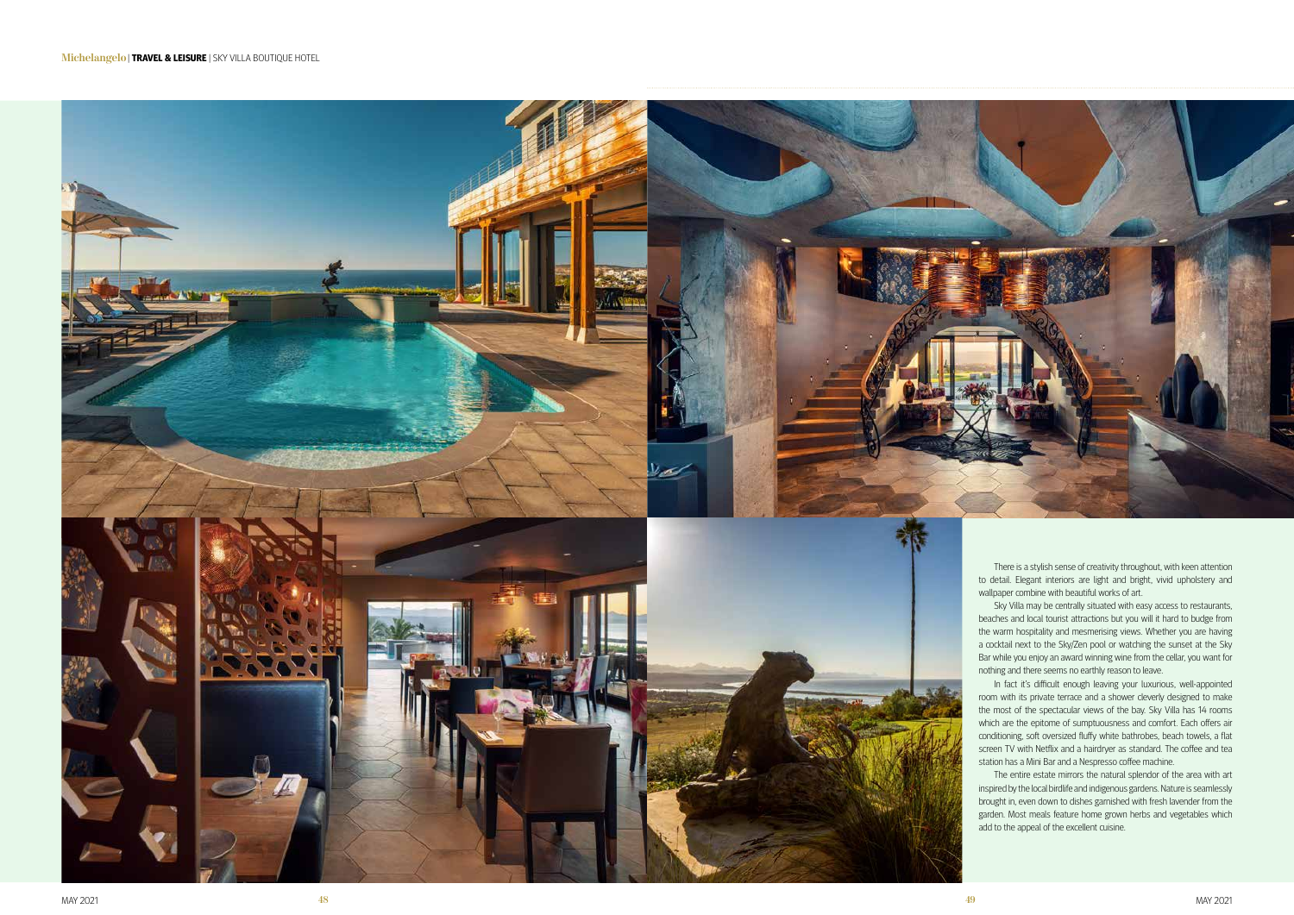